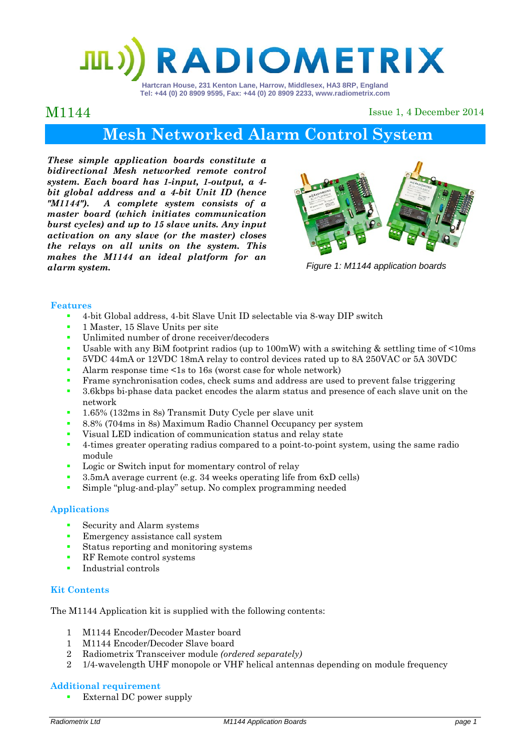# **ADIOMETRIX**

**Hartcran House, 231 Kenton Lane, Harrow, Middlesex, HA3 8RP, England Tel: +44 (0) 20 8909 9595, Fax: +44 (0) 20 8909 2233, www.radiometrix.com** 

### M1144

Issue 1, 4 December 2014

# **Mesh Networked Alarm Control System**

*These simple application boards constitute a bidirectional Mesh networked remote control system. Each board has 1-input, 1-output, a 4 bit global address and a 4-bit Unit ID (hence "M1144"). A complete system consists of a master board (which initiates communication burst cycles) and up to 15 slave units. Any input activation on any slave (or the master) closes the relays on all units on the system. This makes the M1144 an ideal platform for an alarm system. Figure 1: M1144 application boards* 



#### **Features**

- 4-bit Global address, 4-bit Slave Unit ID selectable via 8-way DIP switch
- <sup>1</sup> 1 Master, 15 Slave Units per site
- Unlimited number of drone receiver/decoders
- Usable with any BiM footprint radios (up to 100mW) with a switching & settling time of <10ms
- 5VDC 44mA or 12VDC 18mA relay to control devices rated up to 8A 250VAC or 5A 30VDC
- Alarm response time <1s to 16s (worst case for whole network)
- Frame synchronisation codes, check sums and address are used to prevent false triggering
- 3.6kbps bi-phase data packet encodes the alarm status and presence of each slave unit on the network
- <sup>1</sup> 1.65% (132ms in 8s) Transmit Duty Cycle per slave unit
- 8.8% (704ms in 8s) Maximum Radio Channel Occupancy per system
- Visual LED indication of communication status and relay state
- <sup>4</sup> 4-times greater operating radius compared to a point-to-point system, using the same radio module
- Logic or Switch input for momentary control of relay
- 3.5mA average current (e.g. 34 weeks operating life from 6xD cells)
- Simple "plug-and-play" setup. No complex programming needed

#### **Applications**

- **Security and Alarm systems**
- **EXECUTE:** Emergency assistance call system
- **Status reporting and monitoring systems**
- **RF** Remote control systems
- **Industrial controls**

#### **Kit Contents**

The M1144 Application kit is supplied with the following contents:

- 1 M1144 Encoder/Decoder Master board
- 1 M1144 Encoder/Decoder Slave board
- 2 Radiometrix Transceiver module *(ordered separately)*
- 2 1/4-wavelength UHF monopole or VHF helical antennas depending on module frequency

#### **Additional requirement**

External DC power supply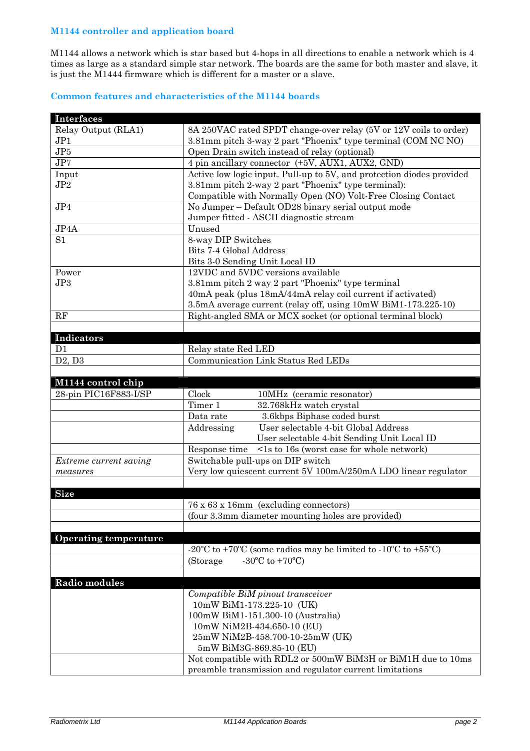#### **M1144 controller and application board**

M1144 allows a network which is star based but 4-hops in all directions to enable a network which is 4 times as large as a standard simple star network. The boards are the same for both master and slave, it is just the M1444 firmware which is different for a master or a slave.

#### **Common features and characteristics of the M1144 boards**

| <b>Interfaces</b>            |                                                                                                                   |  |  |
|------------------------------|-------------------------------------------------------------------------------------------------------------------|--|--|
| Relay Output (RLA1)          | 8A 250VAC rated SPDT change-over relay (5V or 12V coils to order)                                                 |  |  |
| JP1                          | 3.81mm pitch 3-way 2 part "Phoenix" type terminal (COM NC NO)                                                     |  |  |
| JP5                          | Open Drain switch instead of relay (optional)                                                                     |  |  |
| JP7                          | 4 pin ancillary connector (+5V, AUX1, AUX2, GND)                                                                  |  |  |
| Input                        | Active low logic input. Pull-up to 5V, and protection diodes provided                                             |  |  |
| JP2                          | 3.81mm pitch 2-way 2 part "Phoenix" type terminal):                                                               |  |  |
|                              | Compatible with Normally Open (NO) Volt-Free Closing Contact                                                      |  |  |
| JP4                          | No Jumper - Default OD28 binary serial output mode                                                                |  |  |
|                              | Jumper fitted - ASCII diagnostic stream                                                                           |  |  |
| JP4A                         | Unused                                                                                                            |  |  |
| S <sub>1</sub>               | 8-way DIP Switches                                                                                                |  |  |
|                              | Bits 7-4 Global Address                                                                                           |  |  |
|                              | Bits 3-0 Sending Unit Local ID                                                                                    |  |  |
| Power                        | 12VDC and 5VDC versions available                                                                                 |  |  |
| JP3                          | 3.81mm pitch 2 way 2 part "Phoenix" type terminal                                                                 |  |  |
|                              | 40mA peak (plus 18mA/44mA relay coil current if activated)                                                        |  |  |
|                              | 3.5mA average current (relay off, using 10mW BiM1-173.225-10)                                                     |  |  |
| RF                           |                                                                                                                   |  |  |
|                              | Right-angled SMA or MCX socket (or optional terminal block)                                                       |  |  |
|                              |                                                                                                                   |  |  |
| Indicators                   |                                                                                                                   |  |  |
| D <sub>1</sub>               | Relay state Red LED                                                                                               |  |  |
| D2, D3                       | Communication Link Status Red LEDs                                                                                |  |  |
|                              |                                                                                                                   |  |  |
| M1144 control chip           |                                                                                                                   |  |  |
| 28-pin PIC16F883-I/SP        | Clock<br>10MHz (ceramic resonator)                                                                                |  |  |
|                              | Timer 1<br>32.768kHz watch crystal                                                                                |  |  |
|                              | 3.6kbps Biphase coded burst<br>Data rate                                                                          |  |  |
|                              | Addressing<br>User selectable 4-bit Global Address                                                                |  |  |
|                              | User selectable 4-bit Sending Unit Local ID                                                                       |  |  |
|                              | <1s to 16s (worst case for whole network)<br>Response time                                                        |  |  |
| Extreme current saving       | Switchable pull-ups on DIP switch                                                                                 |  |  |
| measures                     | Very low quiescent current 5V 100mA/250mA LDO linear regulator                                                    |  |  |
|                              |                                                                                                                   |  |  |
| <b>Size</b>                  |                                                                                                                   |  |  |
|                              | 76 x 63 x 16mm (excluding connectors)                                                                             |  |  |
|                              | (four 3.3mm diameter mounting holes are provided)                                                                 |  |  |
|                              |                                                                                                                   |  |  |
| <b>Operating temperature</b> |                                                                                                                   |  |  |
|                              | -20 <sup>o</sup> C to +70 <sup>o</sup> C (some radios may be limited to -10 <sup>o</sup> C to +55 <sup>o</sup> C) |  |  |
|                              | $-30^{\circ}$ C to $+70^{\circ}$ C)<br>(Storage)                                                                  |  |  |
|                              |                                                                                                                   |  |  |
| Radio modules                |                                                                                                                   |  |  |
|                              | Compatible BiM pinout transceiver                                                                                 |  |  |
|                              | 10mW BiM1-173.225-10 (UK)                                                                                         |  |  |
|                              |                                                                                                                   |  |  |
|                              | 100mW BiM1-151.300-10 (Australia)<br>10mW NiM2B-434.650-10 (EU)                                                   |  |  |
|                              |                                                                                                                   |  |  |
|                              | 25mW NiM2B-458.700-10-25mW (UK)                                                                                   |  |  |
|                              | 5mW BiM3G-869.85-10 (EU)                                                                                          |  |  |
|                              | Not compatible with RDL2 or 500mW BiM3H or BiM1H due to 10ms                                                      |  |  |
|                              | preamble transmission and regulator current limitations                                                           |  |  |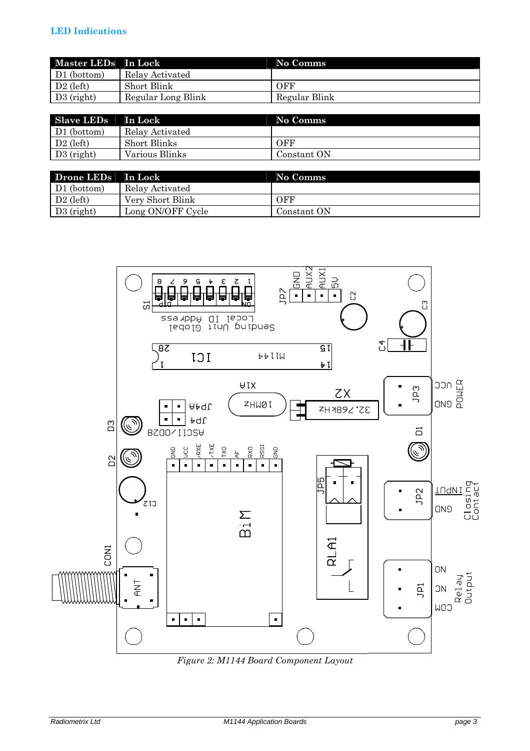| Master LEDs In Lock |                    | No Comms      |
|---------------------|--------------------|---------------|
| D1 (bottom)         | Relay Activated    |               |
| $D2$ (left)         | Short Blink        | OFF           |
| $D3$ (right)        | Regular Long Blink | Regular Blink |

| Slave LEDs   | In Lock         | No Comms    |
|--------------|-----------------|-------------|
| D1 (bottom)  | Relay Activated |             |
| $D2$ (left)  | Short Blinks    | OFF         |
| $D3$ (right) | Various Blinks  | Constant ON |

| Drone LEDs   In Lock |                   | No Comms    |
|----------------------|-------------------|-------------|
| D1 (bottom)          | Relay Activated   |             |
| $D2$ (left)          | Very Short Blink  | OFF         |
| $D3$ (right)         | Long ON/OFF Cycle | Constant ON |



*Figure 2: M1144 Board Component Layout*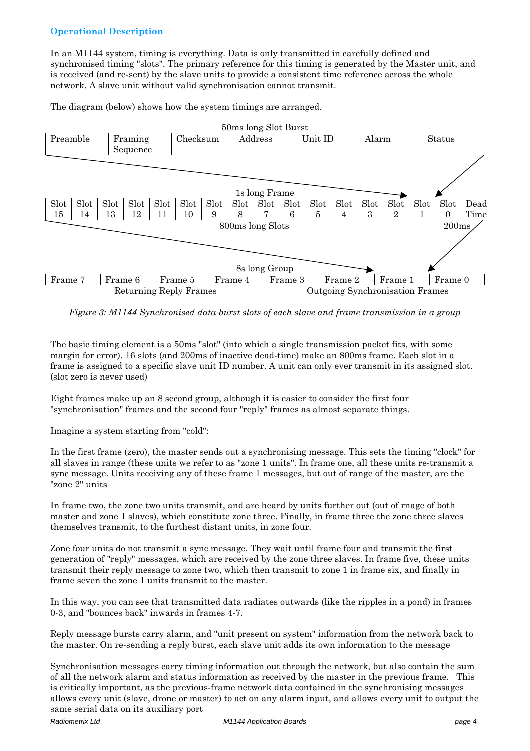#### **Operational Description**

In an M1144 system, timing is everything. Data is only transmitted in carefully defined and synchronised timing "slots". The primary reference for this timing is generated by the Master unit, and is received (and re-sent) by the slave units to provide a consistent time reference across the whole network. A slave unit without valid synchronisation cannot transmit.

The diagram (below) shows how the system timings are arranged.



*Figure 3: M1144 Synchronised data burst slots of each slave and frame transmission in a group* 

The basic timing element is a 50ms "slot" (into which a single transmission packet fits, with some margin for error). 16 slots (and 200ms of inactive dead-time) make an 800ms frame. Each slot in a frame is assigned to a specific slave unit ID number. A unit can only ever transmit in its assigned slot. (slot zero is never used)

Eight frames make up an 8 second group, although it is easier to consider the first four "synchronisation" frames and the second four "reply" frames as almost separate things.

Imagine a system starting from "cold":

In the first frame (zero), the master sends out a synchronising message. This sets the timing "clock" for all slaves in range (these units we refer to as "zone 1 units". In frame one, all these units re-transmit a sync message. Units receiving any of these frame 1 messages, but out of range of the master, are the "zone 2" units

In frame two, the zone two units transmit, and are heard by units further out (out of rnage of both master and zone 1 slaves), which constitute zone three. Finally, in frame three the zone three slaves themselves transmit, to the furthest distant units, in zone four.

Zone four units do not transmit a sync message. They wait until frame four and transmit the first generation of "reply" messages, which are received by the zone three slaves. In frame five, these units transmit their reply message to zone two, which then transmit to zone 1 in frame six, and finally in frame seven the zone 1 units transmit to the master.

In this way, you can see that transmitted data radiates outwards (like the ripples in a pond) in frames 0-3, and "bounces back" inwards in frames 4-7.

Reply message bursts carry alarm, and "unit present on system" information from the network back to the master. On re-sending a reply burst, each slave unit adds its own information to the message

Synchronisation messages carry timing information out through the network, but also contain the sum of all the network alarm and status information as received by the master in the previous frame. This is critically important, as the previous-frame network data contained in the synchronising messages allows every unit (slave, drone or master) to act on any alarm input, and allows every unit to output the same serial data on its auxiliary port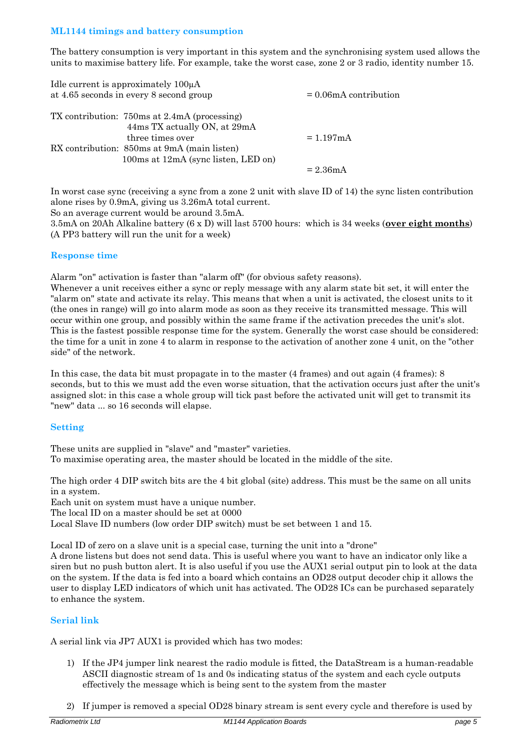#### **ML1144 timings and battery consumption**

The battery consumption is very important in this system and the synchronising system used allows the units to maximise battery life. For example, take the worst case, zone 2 or 3 radio, identity number 15.

| Idle current is approximately $100\mu A$<br>at 4.65 seconds in every 8 second group | $= 0.06$ mA contribution |
|-------------------------------------------------------------------------------------|--------------------------|
| TX contribution: 750ms at 2.4mA (processing)<br>44ms TX actually ON, at 29mA        |                          |
| three times over                                                                    | $= 1.197 \text{mA}$      |
| RX contribution: 850ms at 9mA (main listen)                                         |                          |
| 100 ms at 12 mA (sync listen, LED on)                                               |                          |
|                                                                                     | $= 2.36 \text{mA}$       |

In worst case sync (receiving a sync from a zone 2 unit with slave ID of 14) the sync listen contribution alone rises by 0.9mA, giving us 3.26mA total current.

So an average current would be around 3.5mA.

3.5mA on 20Ah Alkaline battery (6 x D) will last 5700 hours: which is 34 weeks (**over eight months**) (A PP3 battery will run the unit for a week)

#### **Response time**

Alarm "on" activation is faster than "alarm off" (for obvious safety reasons).

Whenever a unit receives either a sync or reply message with any alarm state bit set, it will enter the "alarm on" state and activate its relay. This means that when a unit is activated, the closest units to it (the ones in range) will go into alarm mode as soon as they receive its transmitted message. This will occur within one group, and possibly within the same frame if the activation precedes the unit's slot. This is the fastest possible response time for the system. Generally the worst case should be considered: the time for a unit in zone 4 to alarm in response to the activation of another zone 4 unit, on the "other side" of the network.

In this case, the data bit must propagate in to the master (4 frames) and out again (4 frames): 8 seconds, but to this we must add the even worse situation, that the activation occurs just after the unit's assigned slot: in this case a whole group will tick past before the activated unit will get to transmit its "new" data ... so 16 seconds will elapse.

#### **Setting**

These units are supplied in "slave" and "master" varieties. To maximise operating area, the master should be located in the middle of the site.

The high order 4 DIP switch bits are the 4 bit global (site) address. This must be the same on all units in a system.

Each unit on system must have a unique number.

The local ID on a master should be set at 0000

Local Slave ID numbers (low order DIP switch) must be set between 1 and 15.

Local ID of zero on a slave unit is a special case, turning the unit into a "drone"

A drone listens but does not send data. This is useful where you want to have an indicator only like a siren but no push button alert. It is also useful if you use the AUX1 serial output pin to look at the data on the system. If the data is fed into a board which contains an OD28 output decoder chip it allows the user to display LED indicators of which unit has activated. The OD28 ICs can be purchased separately to enhance the system.

#### **Serial link**

A serial link via JP7 AUX1 is provided which has two modes:

- 1) If the JP4 jumper link nearest the radio module is fitted, the DataStream is a human-readable ASCII diagnostic stream of 1s and 0s indicating status of the system and each cycle outputs effectively the message which is being sent to the system from the master
- 2) If jumper is removed a special OD28 binary stream is sent every cycle and therefore is used by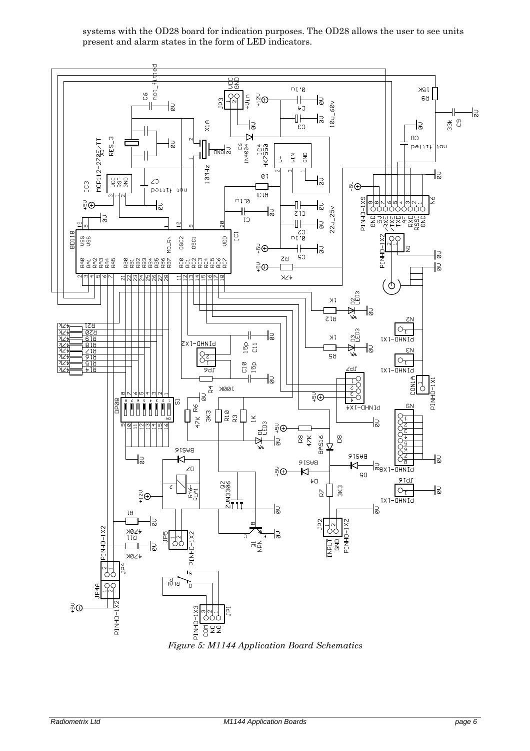systems with the OD28 board for indication purposes. The OD28 allows the user to see units present and alarm states in the form of LED indicators.



*Figure 5: M1144 Application Board Schematics*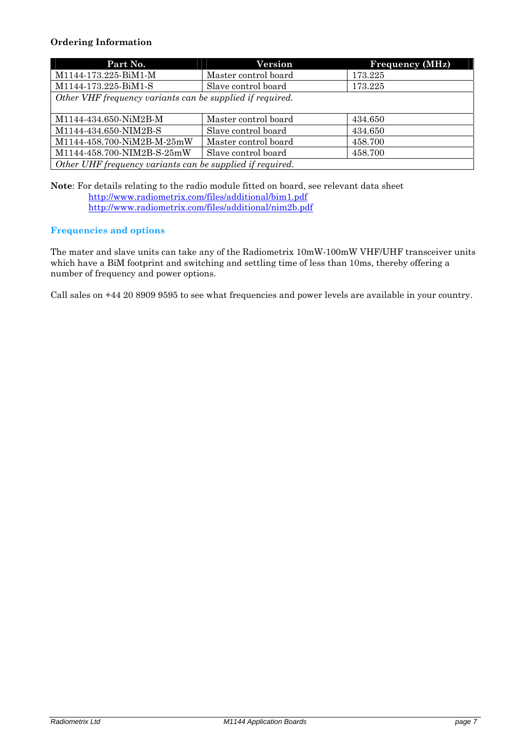#### **Ordering Information**

| Part No.                                                  | Version              | <b>Frequency (MHz)</b> |  |  |
|-----------------------------------------------------------|----------------------|------------------------|--|--|
| M1144-173.225-BiM1-M                                      | Master control board | 173.225                |  |  |
| M1144-173.225-BiM1-S                                      | Slave control board  | 173.225                |  |  |
| Other VHF frequency variants can be supplied if required. |                      |                        |  |  |
|                                                           |                      |                        |  |  |
| M1144-434.650-NiM2B-M                                     | Master control board | 434.650                |  |  |
| M1144-434.650-NIM2B-S                                     | Slave control board  | 434.650                |  |  |
| M1144-458.700-NiM2B-M-25mW                                | Master control board | 458.700                |  |  |
| M1144-458.700-NIM2B-S-25mW                                | Slave control board  | 458.700                |  |  |
| Other UHF frequency variants can be supplied if required. |                      |                        |  |  |

**Note**: For details relating to the radio module fitted on board, see relevant data sheet http://www.radiometrix.com/files/additional/bim1.pdf http://www.radiometrix.com/files/additional/nim2b.pdf

#### **Frequencies and options**

The mater and slave units can take any of the Radiometrix 10mW-100mW VHF/UHF transceiver units which have a BiM footprint and switching and settling time of less than 10ms, thereby offering a number of frequency and power options.

Call sales on +44 20 8909 9595 to see what frequencies and power levels are available in your country.